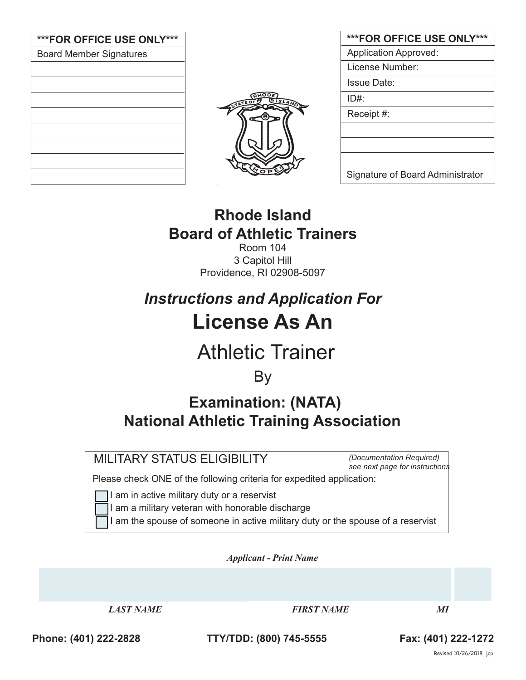| ***FOR OFFICE USE ONLY***      |  |  |  |  |  |  |
|--------------------------------|--|--|--|--|--|--|
| <b>Board Member Signatures</b> |  |  |  |  |  |  |
|                                |  |  |  |  |  |  |
|                                |  |  |  |  |  |  |
|                                |  |  |  |  |  |  |
|                                |  |  |  |  |  |  |
|                                |  |  |  |  |  |  |
|                                |  |  |  |  |  |  |
|                                |  |  |  |  |  |  |
|                                |  |  |  |  |  |  |
|                                |  |  |  |  |  |  |



| <b>***FOR OFFICE USE ONLY***</b> |
|----------------------------------|
| <b>Application Approved:</b>     |
| License Number:                  |
| Issue Date:                      |
| $ID#$ :                          |
| Receipt #:                       |
|                                  |
|                                  |
|                                  |
| Signature of Board Administrator |

## **Rhode Island Board of Athletic Trainers**

Room 104 3 Capitol Hill Providence, RI 02908-5097

# *Instructions and Application For* **License As An**

# Athletic Trainer

 By

## **Examination: (NATA) National Athletic Training Association**

MILITARY STATUS ELIGIBILITY

*(Documentation Required) see next page for instructions*

Please check ONE of the following criteria for expedited application:

I am in active military duty or a reservist

I am a military veteran with honorable discharge

I am the spouse of someone in active military duty or the spouse of a reservist

*Applicant - Print Name* 

 *LAST NAME FIRST NAME MI*

**Phone: (401) 222-2828 TTY/TDD: (800) 745-5555 Fax: (401) 222-1272**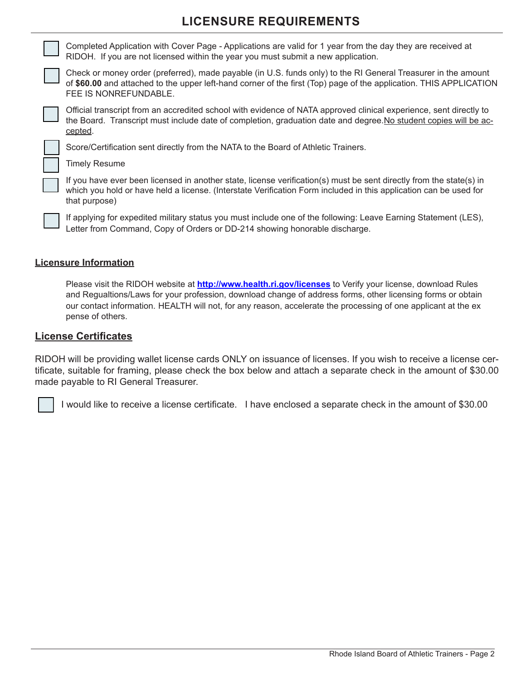### **LICENSURE REQUIREMENTS**

Completed Application with Cover Page - Applications are valid for 1 year from the day they are received at RIDOH. If you are not licensed within the year you must submit a new application.

Check or money order (preferred), made payable (in U.S. funds only) to the RI General Treasurer in the amount of **\$60.00** and attached to the upper left-hand corner of the first (Top) page of the application. THIS APPLICATION FEE IS NONREFUNDABLE.

Official transcript from an accredited school with evidence of NATA approved clinical experience, sent directly to the Board. Transcript must include date of completion, graduation date and degree.No student copies will be accepted.

Score/Certification sent directly from the NATA to the Board of Athletic Trainers.

Timely Resume

If you have ever been licensed in another state, license verification(s) must be sent directly from the state(s) in which you hold or have held a license. (Interstate Verification Form included in this application can be used for that purpose)

If applying for expedited military status you must include one of the following: Leave Earning Statement (LES), Letter from Command, Copy of Orders or DD-214 showing honorable discharge.

#### **Licensure Information**

Please visit the RIDOH website at **http://www.health.ri.gov/licenses** to Verify your license, download Rules and Regualtions/Laws for your profession, download change of address forms, other licensing forms or obtain our contact information. HEALTH will not, for any reason, accelerate the processing of one applicant at the ex pense of others.

#### **License Certificates**

RIDOH will be providing wallet license cards ONLY on issuance of licenses. If you wish to receive a license certificate, suitable for framing, please check the box below and attach a separate check in the amount of \$30.00 made payable to RI General Treasurer.

I would like to receive a license certificate. I have enclosed a separate check in the amount of \$30.00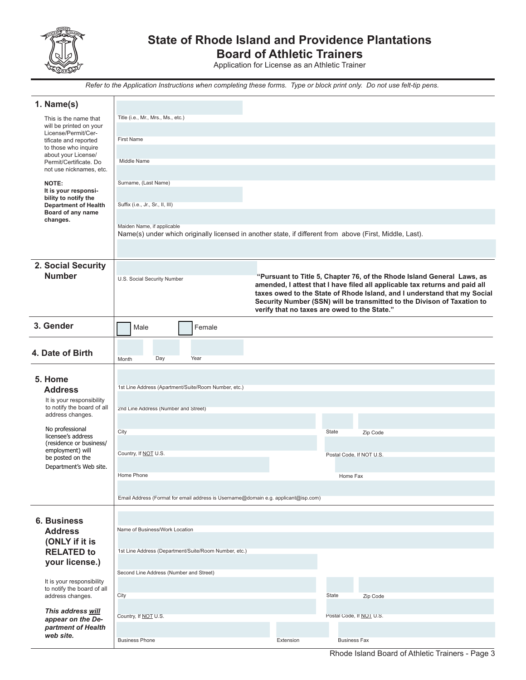

## **State of Rhode Island and Providence Plantations**

**Board of Athletic Trainers**

Application for License as an Athletic Trainer

*Refer to the Application Instructions when completing these forms. Type or block print only. Do not use felt-tip pens.*

| 1. Name(s)                                        |                                                                                                          |     |  |                                                       |  |                                              |                                                                                                                                                       |          |  |  |  |  |
|---------------------------------------------------|----------------------------------------------------------------------------------------------------------|-----|--|-------------------------------------------------------|--|----------------------------------------------|-------------------------------------------------------------------------------------------------------------------------------------------------------|----------|--|--|--|--|
| This is the name that<br>will be printed on your  | Title (i.e., Mr., Mrs., Ms., etc.)                                                                       |     |  |                                                       |  |                                              |                                                                                                                                                       |          |  |  |  |  |
| License/Permit/Cer-<br>tificate and reported      | <b>First Name</b>                                                                                        |     |  |                                                       |  |                                              |                                                                                                                                                       |          |  |  |  |  |
| to those who inquire<br>about your License/       |                                                                                                          |     |  |                                                       |  |                                              |                                                                                                                                                       |          |  |  |  |  |
| Permit/Certificate. Do<br>not use nicknames, etc. | Middle Name                                                                                              |     |  |                                                       |  |                                              |                                                                                                                                                       |          |  |  |  |  |
| NOTE:                                             | Surname, (Last Name)                                                                                     |     |  |                                                       |  |                                              |                                                                                                                                                       |          |  |  |  |  |
| It is your responsi-<br>bility to notify the      |                                                                                                          |     |  |                                                       |  |                                              |                                                                                                                                                       |          |  |  |  |  |
| <b>Department of Health</b><br>Board of any name  | Suffix (i.e., Jr., Sr., II, III)                                                                         |     |  |                                                       |  |                                              |                                                                                                                                                       |          |  |  |  |  |
| changes.                                          | Maiden Name, if applicable                                                                               |     |  |                                                       |  |                                              |                                                                                                                                                       |          |  |  |  |  |
|                                                   | Name(s) under which originally licensed in another state, if different from above (First, Middle, Last). |     |  |                                                       |  |                                              |                                                                                                                                                       |          |  |  |  |  |
|                                                   |                                                                                                          |     |  |                                                       |  |                                              |                                                                                                                                                       |          |  |  |  |  |
| 2. Social Security<br><b>Number</b>               |                                                                                                          |     |  |                                                       |  |                                              |                                                                                                                                                       |          |  |  |  |  |
|                                                   | U.S. Social Security Number                                                                              |     |  |                                                       |  |                                              | "Pursuant to Title 5, Chapter 76, of the Rhode Island General Laws, as<br>amended, I attest that I have filed all applicable tax returns and paid all |          |  |  |  |  |
|                                                   |                                                                                                          |     |  |                                                       |  |                                              | taxes owed to the State of Rhode Island, and I understand that my Social<br>Security Number (SSN) will be transmitted to the Divison of Taxation to   |          |  |  |  |  |
|                                                   |                                                                                                          |     |  |                                                       |  | verify that no taxes are owed to the State." |                                                                                                                                                       |          |  |  |  |  |
| 3. Gender                                         | Male                                                                                                     |     |  | Female                                                |  |                                              |                                                                                                                                                       |          |  |  |  |  |
|                                                   |                                                                                                          |     |  |                                                       |  |                                              |                                                                                                                                                       |          |  |  |  |  |
| 4. Date of Birth                                  | Month                                                                                                    | Day |  | Year                                                  |  |                                              |                                                                                                                                                       |          |  |  |  |  |
|                                                   |                                                                                                          |     |  |                                                       |  |                                              |                                                                                                                                                       |          |  |  |  |  |
| 5. Home<br><b>Address</b>                         |                                                                                                          |     |  | 1st Line Address (Apartment/Suite/Room Number, etc.)  |  |                                              |                                                                                                                                                       |          |  |  |  |  |
| It is your responsibility                         |                                                                                                          |     |  |                                                       |  |                                              |                                                                                                                                                       |          |  |  |  |  |
| to notify the board of all<br>address changes.    | 2nd Line Address (Number and Street)                                                                     |     |  |                                                       |  |                                              |                                                                                                                                                       |          |  |  |  |  |
| No professional<br>licensee's address             | City                                                                                                     |     |  |                                                       |  |                                              | State                                                                                                                                                 | Zip Code |  |  |  |  |
| (residence or business/<br>employment) will       |                                                                                                          |     |  |                                                       |  |                                              |                                                                                                                                                       |          |  |  |  |  |
| be posted on the<br>Department's Web site.        | Country, If NOT U.S.                                                                                     |     |  |                                                       |  |                                              | Postal Code, If NOT U.S.                                                                                                                              |          |  |  |  |  |
|                                                   | Home Phone                                                                                               |     |  |                                                       |  |                                              | Home Fax                                                                                                                                              |          |  |  |  |  |
|                                                   | Email Address (Format for email address is Username@domain e.g. applicant@isp.com)                       |     |  |                                                       |  |                                              |                                                                                                                                                       |          |  |  |  |  |
|                                                   |                                                                                                          |     |  |                                                       |  |                                              |                                                                                                                                                       |          |  |  |  |  |
| <b>6. Business</b>                                |                                                                                                          |     |  |                                                       |  |                                              |                                                                                                                                                       |          |  |  |  |  |
| <b>Address</b><br>(ONLY if it is                  | Name of Business/Work Location                                                                           |     |  |                                                       |  |                                              |                                                                                                                                                       |          |  |  |  |  |
| <b>RELATED to</b>                                 |                                                                                                          |     |  | 1st Line Address (Department/Suite/Room Number, etc.) |  |                                              |                                                                                                                                                       |          |  |  |  |  |
| your license.)                                    |                                                                                                          |     |  |                                                       |  |                                              |                                                                                                                                                       |          |  |  |  |  |
| It is your responsibility                         | Second Line Address (Number and Street)                                                                  |     |  |                                                       |  |                                              |                                                                                                                                                       |          |  |  |  |  |
| to notify the board of all<br>address changes.    | City                                                                                                     |     |  |                                                       |  |                                              | State                                                                                                                                                 | Zip Code |  |  |  |  |
| This address will                                 |                                                                                                          |     |  |                                                       |  |                                              |                                                                                                                                                       |          |  |  |  |  |
| appear on the De-<br>partment of Health           | Country, If NOT U.S.                                                                                     |     |  |                                                       |  |                                              | Postal Code, If NOT U.S.                                                                                                                              |          |  |  |  |  |
| web site.                                         | <b>Business Phone</b>                                                                                    |     |  |                                                       |  | Extension                                    | <b>Business Fax</b>                                                                                                                                   |          |  |  |  |  |
|                                                   |                                                                                                          |     |  |                                                       |  |                                              |                                                                                                                                                       |          |  |  |  |  |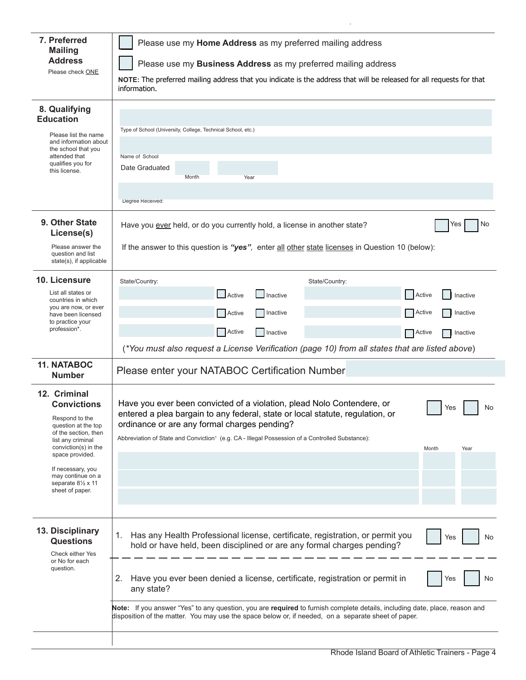| 7. Preferred<br><b>Mailing</b><br><b>Address</b><br>Please check ONE                                                                                                                                                                                   | Please use my Home Address as my preferred mailing address<br>Please use my Business Address as my preferred mailing address<br>NOTE: The preferred mailing address that you indicate is the address that will be released for all requests for that<br>information.                                                                                 |
|--------------------------------------------------------------------------------------------------------------------------------------------------------------------------------------------------------------------------------------------------------|------------------------------------------------------------------------------------------------------------------------------------------------------------------------------------------------------------------------------------------------------------------------------------------------------------------------------------------------------|
| 8. Qualifying<br><b>Education</b><br>Please list the name<br>and information about<br>the school that you<br>attended that<br>qualifies you for<br>this license.                                                                                       | Type of School (University, College, Technical School, etc.)<br>Name of School<br>Date Graduated<br>Month<br>Year<br>Degree Received:                                                                                                                                                                                                                |
| 9. Other State<br>License(s)<br>Please answer the<br>question and list<br>state(s), if applicable                                                                                                                                                      | No<br>Have you ever held, or do you currently hold, a license in another state?<br>Yes<br>If the answer to this question is "yes", enter all other state licenses in Question 10 (below):                                                                                                                                                            |
| 10. Licensure<br>List all states or<br>countries in which<br>you are now, or ever<br>have been licensed<br>to practice your<br>profession*.                                                                                                            | State/Country:<br>State/Country:<br>Active<br>Active<br>Inactive<br>Inactive<br>Active<br>Active<br><b>Inactive</b><br>Inactive<br>Active<br>    Inactive<br>Active<br>Inactive<br>(*You must also request a License Verification (page 10) from all states that are listed above)                                                                   |
| <b>11. NATABOC</b><br><b>Number</b>                                                                                                                                                                                                                    | Please enter your NATABOC Certification Number                                                                                                                                                                                                                                                                                                       |
| 12. Criminal<br><b>Convictions</b><br>Respond to the<br>question at the top<br>of the section, then<br>list any criminal<br>conviction(s) in the<br>space provided.<br>If necessary, you<br>may continue on a<br>separate 81/2 x 11<br>sheet of paper. | Have you ever been convicted of a violation, plead Nolo Contendere, or<br>Yes<br>No<br>entered a plea bargain to any federal, state or local statute, regulation, or<br>ordinance or are any formal charges pending?<br>Abbreviation of State and Conviction <sup>1</sup> (e.g. CA - Illegal Possession of a Controlled Substance):<br>Month<br>Year |
| 13. Disciplinary<br><b>Questions</b><br>Check either Yes<br>or No for each<br>question.                                                                                                                                                                | Has any Health Professional license, certificate, registration, or permit you<br>1.<br>Yes<br>No<br>hold or have held, been disciplined or are any formal charges pending?<br>Have you ever been denied a license, certificate, registration or permit in<br>2.<br>No<br>Yes<br>any state?                                                           |
|                                                                                                                                                                                                                                                        | Note: If you answer "Yes" to any question, you are required to furnish complete details, including date, place, reason and<br>disposition of the matter. You may use the space below or, if needed, on a separate sheet of paper.                                                                                                                    |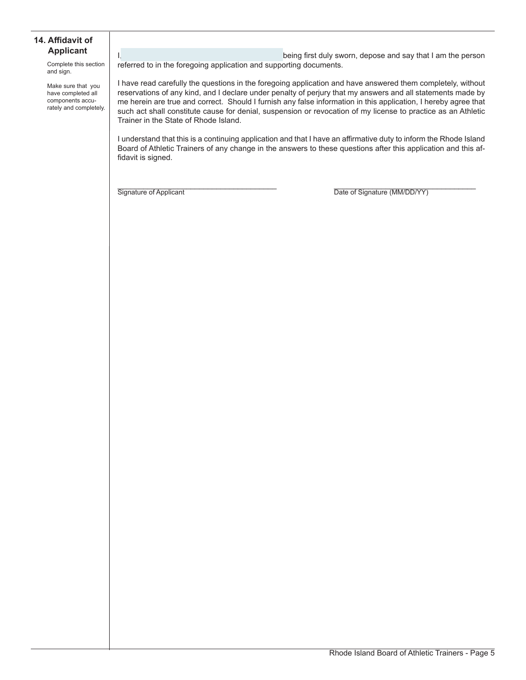#### **14. Affidavit of Applicant**

Complete this section and sign.

Make sure that you have completed all components accurately and completely.

I, the contract of the contract of the being first duly sworn, depose and say that I am the person referred to in the foregoing application and supporting documents.

I have read carefully the questions in the foregoing application and have answered them completely, without reservations of any kind, and I declare under penalty of perjury that my answers and all statements made by me herein are true and correct. Should I furnish any false information in this application, I hereby agree that such act shall constitute cause for denial, suspension or revocation of my license to practice as an Athletic Trainer in the State of Rhode Island.

I understand that this is a continuing application and that I have an affirmative duty to inform the Rhode Island Board of Athletic Trainers of any change in the answers to these questions after this application and this affidavit is signed.

Signature of Applicant **Example 20** The Signature (MM/DD/YY) Date of Signature (MM/DD/YY)